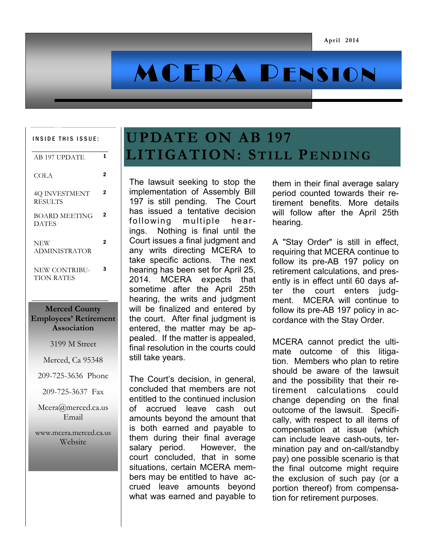# MCERA PENSION

#### INSIDE THIS ISSUE:

| 1                                                    | AB 197 UPDATE                        |
|------------------------------------------------------|--------------------------------------|
| 2                                                    | COLA                                 |
| 2                                                    | 4Q INVESTMENT<br><b>RESULTS</b>      |
| 2                                                    | <b>BOARD MEETING</b><br><b>DATES</b> |
| 2                                                    | <b>NEW</b><br><b>ADMINISTRATOR</b>   |
| 3                                                    | NEW CONTRIBU-<br><b>TION RATES</b>   |
| <b>Merced County</b><br><b>Employees' Retirement</b> |                                      |
| Association                                          |                                      |

3199 M Street

Merced, Ca 95348

209-725-3636 Phone

209-725-3637 Fax

Mcera@merced.ca.us Email

www.mcera.merced.ca.us Website

## **UPDATE ON AB 197 LITIGATION: ST I L L PE N D I NG**

The lawsuit seeking to stop the implementation of Assembly Bill 197 is still pending. The Court has issued a tentative decision following multiple hearings. Nothing is final until the Court issues a final judgment and any writs directing MCERA to take specific actions. The next hearing has been set for April 25, 2014. MCERA expects that sometime after the April 25th hearing, the writs and judgment will be finalized and entered by the court. After final judgment is entered, the matter may be appealed. If the matter is appealed, final resolution in the courts could still take years.

The Court's decision, in general, concluded that members are not entitled to the continued inclusion of accrued leave cash out amounts beyond the amount that is both earned and payable to them during their final average salary period. However, the court concluded, that in some situations, certain MCERA members may be entitled to have accrued leave amounts beyond what was earned and payable to

them in their final average salary period counted towards their retirement benefits. More details will follow after the April 25th hearing.

A "Stay Order" is still in effect, requiring that MCERA continue to follow its pre-AB 197 policy on retirement calculations, and presently is in effect until 60 days after the court enters judgment. MCERA will continue to follow its pre-AB 197 policy in accordance with the Stay Order.

MCERA cannot predict the ultimate outcome of this litigation. Members who plan to retire should be aware of the lawsuit and the possibility that their retirement calculations could change depending on the final outcome of the lawsuit. Specifically, with respect to all items of compensation at issue (which can include leave cash-outs, termination pay and on-call/standby pay) one possible scenario is that the final outcome might require the exclusion of such pay (or a portion thereof) from compensation for retirement purposes.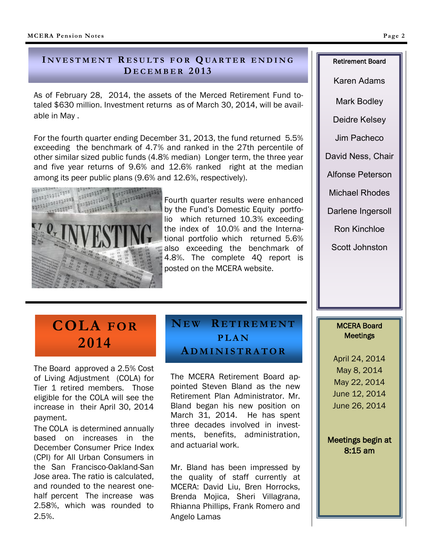### **I N V E S T M E N T R E S U L T S F O R Q UA R T E R E N D I N G D E C E M B E R 2 0 1 3**

As of February 28, 2014, the assets of the Merced Retirement Fund totaled \$630 million. Investment returns as of March 30, 2014, will be available in May .

For the fourth quarter ending December 31, 2013, the fund returned 5.5% exceeding the benchmark of 4.7% and ranked in the 27th percentile of other similar sized public funds (4.8% median) Longer term, the three year and five year returns of 9.6% and 12.6% ranked right at the median among its peer public plans (9.6% and 12.6%, respectively).



Fourth quarter results were enhanced by the Fund's Domestic Equity portfolio which returned 10.3% exceeding the index of 10.0% and the International portfolio which returned 5.6% also exceeding the benchmark of 4.8%. The complete 4Q report is posted on the MCERA website.

### **COLA FOR 2014**

The Board approved a 2.5% Cost of Living Adjustment (COLA) for Tier 1 retired members. Those eligible for the COLA will see the increase in their April 30, 2014 payment.

The COLA is determined annually based on increases in the December Consumer Price Index (CPI) for All Urban Consumers in the San Francisco-Oakland-San Jose area. The ratio is calculated, and rounded to the nearest onehalf percent The increase was 2.58%, which was rounded to 2.5%.

### **NE W R E T I R E M E N T P L A N A D M I N I S T R A T O R**

The MCERA Retirement Board appointed Steven Bland as the new Retirement Plan Administrator. Mr. Bland began his new position on March 31, 2014. He has spent three decades involved in investments, benefits, administration, and actuarial work.

Mr. Bland has been impressed by the quality of staff currently at MCERA: David Liu, Bren Horrocks, Brenda Mojica, Sheri Villagrana, Rhianna Phillips, Frank Romero and Angelo Lamas

Karen Adams

Mark Bodley

Deidre Kelsey

Jim Pacheco

David Ness, Chair

Alfonse Peterson

Michael Rhodes

Darlene Ingersoll

Ron Kinchloe

Scott Johnston

#### MCERA Board **Meetings**

April 24, 2014 May 8, 2014 May 22, 2014 June 12, 2014 June 26, 2014

Meetings begin at 8:15 am